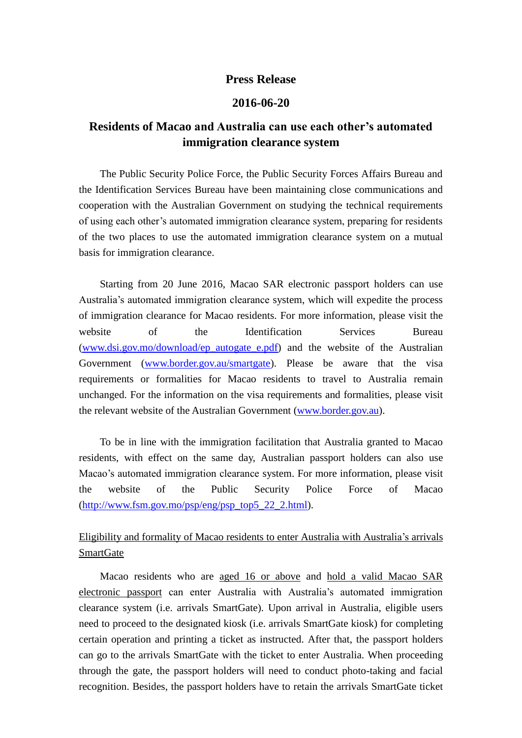## **Press Release**

## **2016-06-20**

## **Residents of Macao and Australia can use each other's automated immigration clearance system**

The Public Security Police Force, the Public Security Forces Affairs Bureau and the Identification Services Bureau have been maintaining close communications and cooperation with the Australian Government on studying the technical requirements of using each other's automated immigration clearance system, preparing for residents of the two places to use the automated immigration clearance system on a mutual basis for immigration clearance.

Starting from 20 June 2016, Macao SAR electronic passport holders can use Australia's automated immigration clearance system, which will expedite the process of immigration clearance for Macao residents. For more information, please visit the website of the Identification Services Bureau [\(www.dsi.gov.mo/download/ep\\_autogate\\_e.pdf\)](http://www.dsi.gov.mo/download/ep_autogate_e.pdf) and the website of the Australian Government [\(www.border.gov.au/smartgate\)](http://www.border.gov.au/smartgate). Please be aware that the visa requirements or formalities for Macao residents to travel to Australia remain unchanged. For the information on the visa requirements and formalities, please visit the relevant website of the Australian Government [\(www.border.gov.au\)](http://www.border.gov.au/).

To be in line with the immigration facilitation that Australia granted to Macao residents, with effect on the same day, Australian passport holders can also use Macao's automated immigration clearance system. For more information, please visit the website of the Public Security Police Force of Macao  $(\text{http://www.fsm.gov.mo/psp/eng/psp-top5} 22.2.html).$ 

## Eligibility and formality of Macao residents to enter Australia with Australia's arrivals **SmartGate**

Macao residents who are aged 16 or above and hold a valid Macao SAR electronic passport can enter Australia with Australia's automated immigration clearance system (i.e. arrivals SmartGate). Upon arrival in Australia, eligible users need to proceed to the designated kiosk (i.e. arrivals SmartGate kiosk) for completing certain operation and printing a ticket as instructed. After that, the passport holders can go to the arrivals SmartGate with the ticket to enter Australia. When proceeding through the gate, the passport holders will need to conduct photo-taking and facial recognition. Besides, the passport holders have to retain the arrivals SmartGate ticket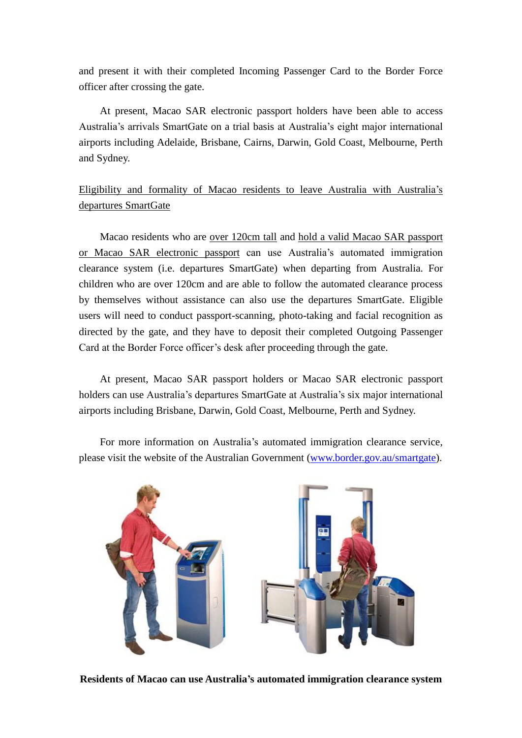and present it with their completed Incoming Passenger Card to the Border Force officer after crossing the gate.

At present, Macao SAR electronic passport holders have been able to access Australia's arrivals SmartGate on a trial basis at Australia's eight major international airports including Adelaide, Brisbane, Cairns, Darwin, Gold Coast, Melbourne, Perth and Sydney.

Eligibility and formality of Macao residents to leave Australia with Australia's departures SmartGate

Macao residents who are over 120cm tall and hold a valid Macao SAR passport or Macao SAR electronic passport can use Australia's automated immigration clearance system (i.e. departures SmartGate) when departing from Australia. For children who are over 120cm and are able to follow the automated clearance process by themselves without assistance can also use the departures SmartGate. Eligible users will need to conduct passport-scanning, photo-taking and facial recognition as directed by the gate, and they have to deposit their completed Outgoing Passenger Card at the Border Force officer's desk after proceeding through the gate.

 At present, Macao SAR passport holders or Macao SAR electronic passport holders can use Australia's departures SmartGate at Australia's six major international airports including Brisbane, Darwin, Gold Coast, Melbourne, Perth and Sydney.

 For more information on Australia's automated immigration clearance service, please visit the website of the Australian Government [\(www.border.gov.au/smartgate\)](http://www.border.gov.au/smartgate).



**Residents of Macao can use Australia's automated immigration clearance system**